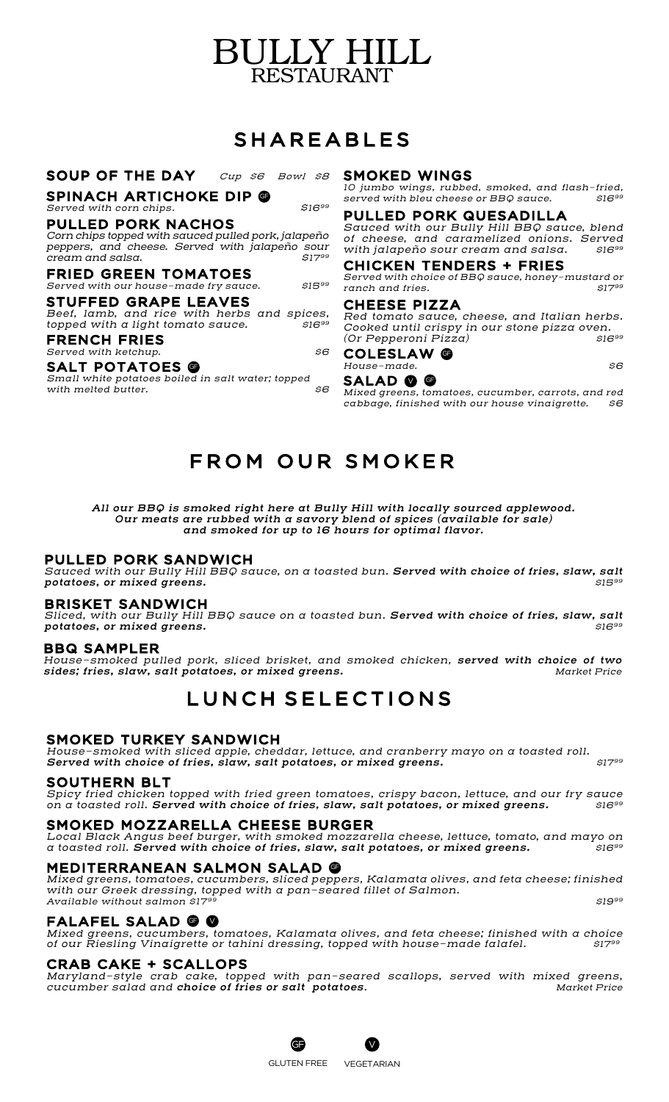# BULLY HILL RESTAURANT

# SHAREABLES

#### SOUP OF THE DAY *Cup \$6 Bowl \$8*

### SPINACH ARTICHOKE DIP @

*Served with corn chips. \$1699*

#### PULLED PORK NACHOS

*Corn chips topped with sauced pulled pork, jalapeño peppers, and cheese. Served with jalapeño sour cream and salsa.* 

FRIED GREEN TOMATOES *Served with our house-made fry sauce. \$1599*

#### STUFFED GRAPE LEAVES

*Beef, lamb, and rice with herbs and spices, topped with a light tomato sauce. \$1699*

#### FRENCH FRIES *Served with ketchup. \$6*

## SALT POTATOES **@**

*Small white potatoes boiled in salt water; topped*   $with$  melted butter.

#### SMOKED WINGS

*10 jumbo wings, rubbed, smoked, and flash-fried, served with bleu cheese or BBQ sauce.* 

#### PULLED PORK QUESADILLA

*Sauced with our Bully Hill BBQ sauce, blend of cheese, and caramelized onions. Served with jalapeño sour cream and salsa.* 

### CHICKEN TENDERS + FRIES

*Served with choice of BBQ sauce, honey-mustard or ranch and fries. \$1799*

#### CHEESE PIZZA

*Red tomato sauce, cheese, and Italian herbs. Cooked until crispy in our stone pizza oven. (Or Pepperoni Pizza) \$1699*

#### COLESLAW **@** *House-made. \$6*

### SALAD @ @

*Mixed greens, tomatoes, cucumber, carrots, and red cabbage, finished with our house vinaigrette. \$6*

# FROM OUR SMOKER

*All our BBQ is smoked right here at Bully Hill with locally sourced applewood. Our meats are rubbed with a savory blend of spices (available for sale) and smoked for up to 16 hours for optimal flavor.*

#### PULLED PORK SANDWICH

*Sauced with our Bully Hill BBQ sauce, on a toasted bun. Served with choice of fries, slaw, salt potatoes, or mixed greens. \$1599*

#### BRISKET SANDWICH

*Sliced, with our Bully Hill BBQ sauce on a toasted bun. Served with choice of fries, slaw, salt potatoes, or mixed greens. \$1699*

#### BBQ SAMPLER

*House-smoked pulled pork, sliced brisket, and smoked chicken, served with choice of two*   $sides; fries, slaw, salt potatoes, or mixed greens.$ 

# LUNCH SELECTIONS

### SMOKED TURKEY SANDWICH

*House-smoked with sliced apple, cheddar, lettuce, and cranberry mayo on a toasted roll.*  **Served with choice of fries, slaw, salt potatoes, or mixed greens.**  $$17^{99}$ 

#### SOUTHERN BLT

*Spicy fried chicken topped with fried green tomatoes, crispy bacon, lettuce, and our fry sauce on a toasted roll. Served with choice of fries, slaw, salt potatoes, or mixed greens. \$1699*

#### SMOKED MOZZARELLA CHEESE BURGER

*Local Black Angus beef burger, with smoked mozzarella cheese, lettuce, tomato, and mayo on a toasted roll. Served with choice of fries, slaw, salt potatoes, or mixed greens. \$1699*

## MEDITERRANEAN SALMON SALAD GF

*Mixed greens, tomatoes, cucumbers, sliced peppers, Kalamata olives, and feta cheese; finished with our Greek dressing, topped with a pan-seared fillet of Salmon. Available without salmon \$1799 \$1999*

#### FALAFEL SALAD @ @

*Mixed greens, cucumbers, tomatoes, Kalamata olives, and feta cheese; finished with a choice of our Riesling Vinaigrette or tahini dressing, topped with house-made falafel. \$1799*

#### CRAB CAKE + SCALLOPS

*Maryland-style crab cake, topped with pan-seared scallops, served with mixed greens, cucumber salad and choice of fries or salt potatoes. Market Price*



V